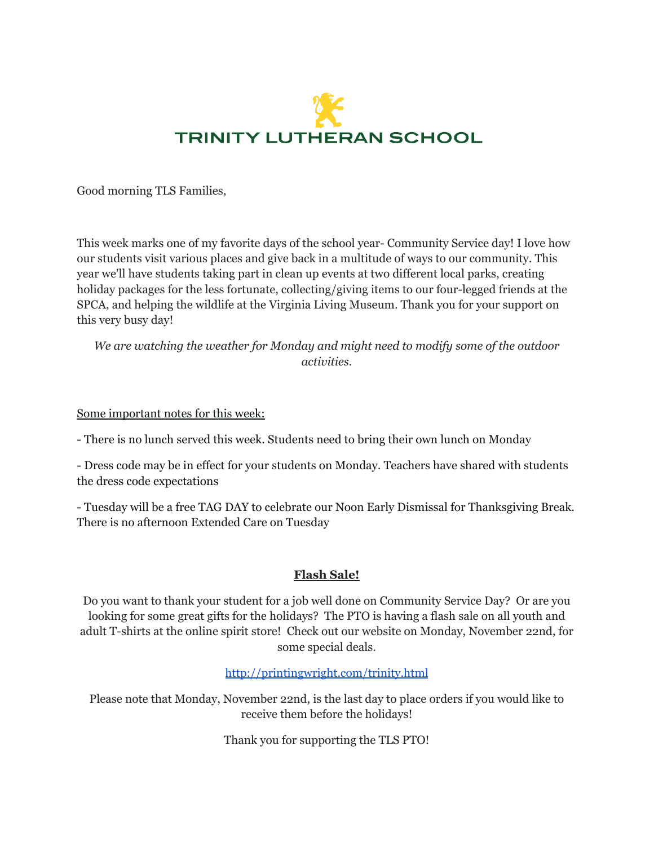

Good morning TLS Families,

This week marks one of my favorite days of the school year- Community Service day! I love how our students visit various places and give back in a multitude of ways to our community. This year we'll have students taking part in clean up events at two different local parks, creating holiday packages for the less fortunate, collecting/giving items to our four-legged friends at the SPCA, and helping the wildlife at the Virginia Living Museum. Thank you for your support on this very busy day!

*We are watching the weather for Monday and might need to modify some of the outdoor activities.*

#### Some important notes for this week:

- There is no lunch served this week. Students need to bring their own lunch on Monday

- Dress code may be in effect for your students on Monday. Teachers have shared with students the dress code expectations

- Tuesday will be a free TAG DAY to celebrate our Noon Early Dismissal for Thanksgiving Break. There is no afternoon Extended Care on Tuesday

#### **Flash Sale!**

Do you want to thank your student for a job well done on Community Service Day? Or are you looking for some great gifts for the holidays? The PTO is having a flash sale on all youth and adult T-shirts at the online spirit store! Check out our website on Monday, November 22nd, for some special deals.

#### [http://printingwright.com/trinity.html](http://track.spe.schoolmessenger.com/f/a/0Xtqv06hv_0_INQq8mwvyQ~~/AAAAAQA~/RgRjejLtP0QmaHR0cDovL3ByaW50aW5nd3JpZ2h0LmNvbS90cmluaXR5Lmh0bWxXB3NjaG9vbG1CCmGLbf-YYfWV8MpSFG1jcm9uZUB0cmluaXR5bm4uY29tWAQAAAAB)

Please note that Monday, November 22nd, is the last day to place orders if you would like to receive them before the holidays!

Thank you for supporting the TLS PTO!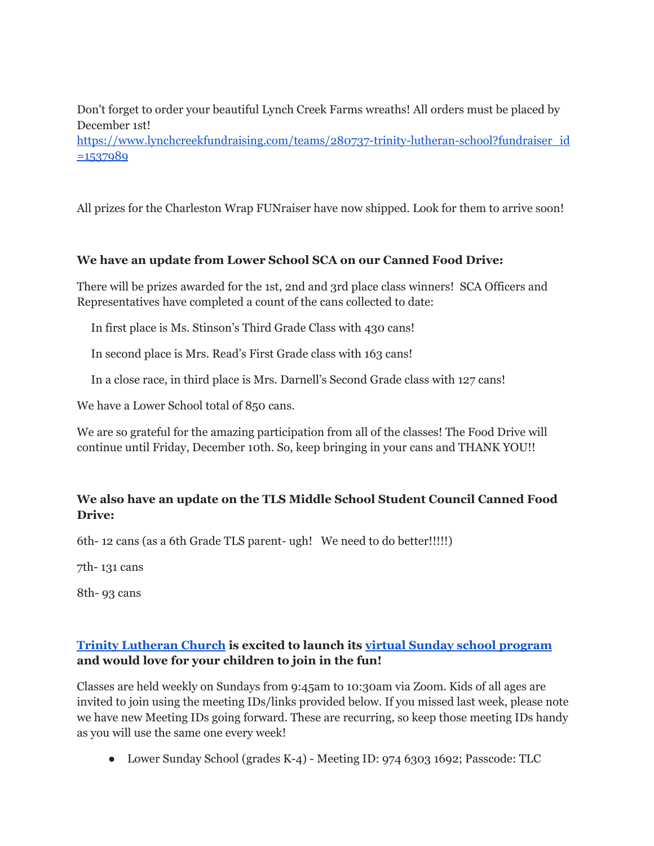Don't forget to order your beautiful Lynch Creek Farms wreaths! All orders must be placed by December 1st!

[https://www.lynchcreekfundraising.com/teams/280737-trinity-lutheran-school?fundraiser\\_id](http://track.spe.schoolmessenger.com/f/a/72-HxN_vmZrrV-LrygSvMQ~~/AAAAAQA~/RgRjejLtP4QTAmh0dHA6Ly90cmFjay5zcGUuc2Nob29sbWVzc2VuZ2VyLmNvbS9mL2EvM0M2OUtkRmZzOGliVWFJMHpsTjhmd35-L0FBQUFBUUF-L1JnUmpaNl9aUDRRYkFXaDBkSEE2THk5MGNtRmpheTV6Y0dVdWMyTm9iMjlzYldWemMyVnVaMlZ5TG1OdmJTOW1MMkV2YkRadE5XUnhOMDVtWkc1VU9VZEZZbmR5WjNaa1VYNS1MMEZCUVVGQlVVRi1MMUpuVW1wWWJsWlpVREJTWjJGSVVqQmpTRTAyVEhrNU0yUXpZM1ZpU0d4MVdUSm9hbU50Vm14aE1sb3hZbTFTZVZsWGJIcGhWelZ1VEcxT2RtSlRPVEJhVjBaMFkzazRlVTlFUVROTmVtTjBaRWhLY0dKdGJEQmxVekZ6WkZoU2IxcFlTbWhpYVRGNldUSm9kbUl5ZDE5YWJsWjFXa2hLYUdGWVRteGpiRGx3V2tRd2VFNVVUVE5QVkdjMVZuZGtlbGt5YUhaaU1uaDBVV2R3YUdVNWFFSm1WMFpLVVdvemRsVm9VbkZqUjFZd1pFaHNRV1JJU25CaWJXd3daVmMxZFV4dFRuWmlWbWRGUVVGQlFVRlJmbjVYQjNOamFHOXZiRzFDQ21HQldYeUdZVlQyZGw5U0VtdG5iMlYwZWprM1FHZHRZV2xzTG1OdmJWZ0VBQUFBQVF-flcHc2Nob29sbUIKYYtt_5hh9ZXwylIUbWNyb25lQHRyaW5pdHlubi5jb21YBAAAAAE~)  $=1537989$ 

All prizes for the Charleston Wrap FUNraiser have now shipped. Look for them to arrive soon!

## **We have an update from Lower School SCA on our Canned Food Drive:**

There will be prizes awarded for the 1st, 2nd and 3rd place class winners! SCA Officers and Representatives have completed a count of the cans collected to date:

In first place is Ms. Stinson's Third Grade Class with 430 cans!

In second place is Mrs. Read's First Grade class with 163 cans!

In a close race, in third place is Mrs. Darnell's Second Grade class with 127 cans!

We have a Lower School total of 850 cans.

We are so grateful for the amazing participation from all of the classes! The Food Drive will continue until Friday, December 10th. So, keep bringing in your cans and THANK YOU!!

## **We also have an update on the TLS Middle School Student Council Canned Food Drive:**

6th- 12 cans (as a 6th Grade TLS parent- ugh! We need to do better!!!!!)

7th- 131 cans

8th- 93 cans

# **Trinity [Lutheran](http://track.spe.schoolmessenger.com/f/a/efQ-srXAcJsNjkSmtE0vkQ~~/AAAAAQA~/RgRjejLtP0QfaHR0cHM6Ly90cmluaXR5bHV0aGVyYW4tbm4uY29tL1cHc2Nob29sbUIKYYtt_5hh9ZXwylIUbWNyb25lQHRyaW5pdHlubi5jb21YBAAAAAE~) Church is excited to launch its virtual Sunday school [program](http://track.spe.schoolmessenger.com/f/a/OLYvB8CPSMu81uDOq5fwWA~~/AAAAAQA~/RgRjejLtP0Q2aHR0cHM6Ly90cmluaXR5bHV0aGVyYW4tbm4uY29tL21pbmlzdHJ5L3N1bmRheS1zY2hvb2wvVwdzY2hvb2xtQgphi23_mGH1lfDKUhRtY3JvbmVAdHJpbml0eW5uLmNvbVgEAAAAAQ~~) and would love for your children to join in the fun!**

Classes are held weekly on Sundays from 9:45am to 10:30am via Zoom. Kids of all ages are invited to join using the meeting IDs/links provided below. If you missed last week, please note we have new Meeting IDs going forward. These are recurring, so keep those meeting IDs handy as you will use the same one every week!

● Lower Sunday School (grades K-4) - Meeting ID: 974 6303 1692; Passcode: TLC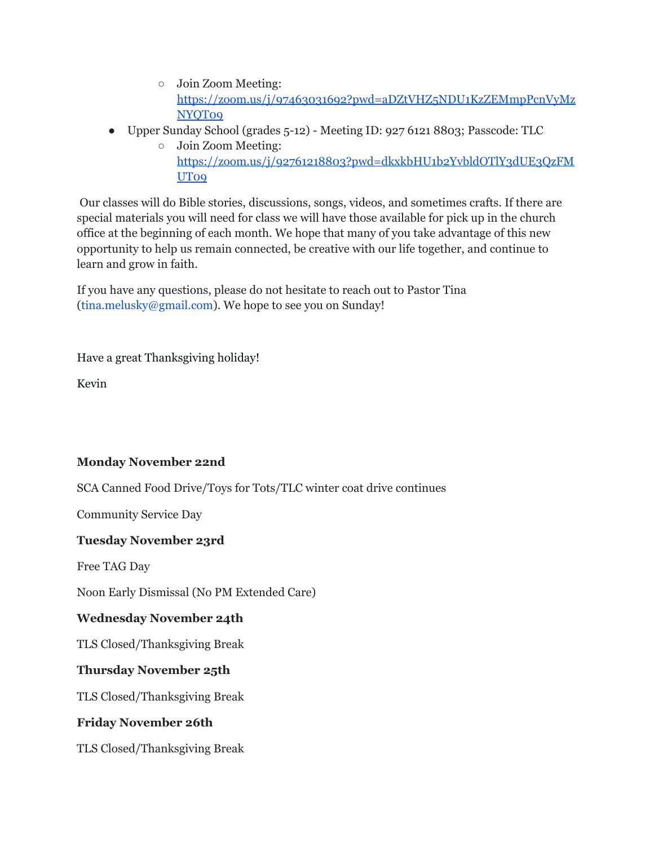- Join Zoom Meeting: [https://zoom.us/j/97463031692?pwd=aDZtVHZ5NDU1KzZEMmpPcnVyMz](http://track.spe.schoolmessenger.com/f/a/_zOzo0wC7iP82Y68tg5gTQ~~/AAAAAQA~/RgRjejLtP0RCaHR0cHM6Ly96b29tLnVzL2ovOTc0NjMwMzE2OTI_cHdkPWFEWnRWSFo1TkRVMUt6WkVNbXBQY25WeU16TllRVDA5VwdzY2hvb2xtQgphi23_mGH1lfDKUhRtY3JvbmVAdHJpbml0eW5uLmNvbVgEAAAAAQ~~) [NYQT09](http://track.spe.schoolmessenger.com/f/a/_zOzo0wC7iP82Y68tg5gTQ~~/AAAAAQA~/RgRjejLtP0RCaHR0cHM6Ly96b29tLnVzL2ovOTc0NjMwMzE2OTI_cHdkPWFEWnRWSFo1TkRVMUt6WkVNbXBQY25WeU16TllRVDA5VwdzY2hvb2xtQgphi23_mGH1lfDKUhRtY3JvbmVAdHJpbml0eW5uLmNvbVgEAAAAAQ~~)
- Upper Sunday School (grades 5-12) Meeting ID: 927 6121 8803; Passcode: TLC
	- Join Zoom Meeting: [https://zoom.us/j/92761218803?pwd=dkxkbHU1b2YvbldOTlY3dUE3QzFM](http://track.spe.schoolmessenger.com/f/a/FxBnmt-GffM-_u9Mw35d1Q~~/AAAAAQA~/RgRjejLtP0RCaHR0cHM6Ly96b29tLnVzL2ovOTI3NjEyMTg4MDM_cHdkPWRreGtiSFUxYjJZdmJsZE9UbFkzZFVFM1F6Rk1VVDA5VwdzY2hvb2xtQgphi23_mGH1lfDKUhRtY3JvbmVAdHJpbml0eW5uLmNvbVgEAAAAAQ~~) [UT09](http://track.spe.schoolmessenger.com/f/a/FxBnmt-GffM-_u9Mw35d1Q~~/AAAAAQA~/RgRjejLtP0RCaHR0cHM6Ly96b29tLnVzL2ovOTI3NjEyMTg4MDM_cHdkPWRreGtiSFUxYjJZdmJsZE9UbFkzZFVFM1F6Rk1VVDA5VwdzY2hvb2xtQgphi23_mGH1lfDKUhRtY3JvbmVAdHJpbml0eW5uLmNvbVgEAAAAAQ~~)

Our classes will do Bible stories, discussions, songs, videos, and sometimes crafts. If there are special materials you will need for class we will have those available for pick up in the church office at the beginning of each month. We hope that many of you take advantage of this new opportunity to help us remain connected, be creative with our life together, and continue to learn and grow in faith.

If you have any questions, please do not hesitate to reach out to Pastor Tina (tina.melusky@gmail.com). We hope to see you on Sunday!

Have a great Thanksgiving holiday!

Kevin

## **Monday November 22nd**

SCA Canned Food Drive/Toys for Tots/TLC winter coat drive continues

Community Service Day

## **Tuesday November 23rd**

Free TAG Day

Noon Early Dismissal (No PM Extended Care)

## **Wednesday November 24th**

TLS Closed/Thanksgiving Break

## **Thursday November 25th**

TLS Closed/Thanksgiving Break

## **Friday November 26th**

TLS Closed/Thanksgiving Break